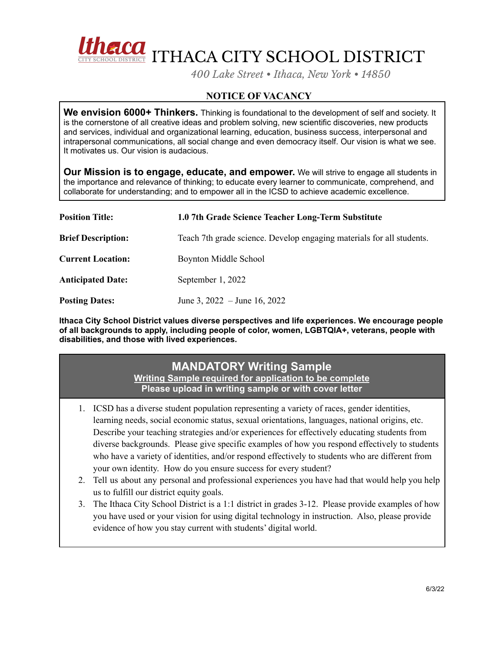

*400 Lake Street • Ithaca, New York • 14850*

## **NOTICE OF VACANCY**

**We envision 6000+ Thinkers.** Thinking is foundational to the development of self and society. It is the cornerstone of all creative ideas and problem solving, new scientific discoveries, new products and services, individual and organizational learning, education, business success, interpersonal and intrapersonal communications, all social change and even democracy itself. Our vision is what we see. It motivates us. Our vision is audacious.

**Our Mission is to engage, educate, and empower.** We will strive to engage all students in the importance and relevance of thinking; to educate every learner to communicate, comprehend, and collaborate for understanding; and to empower all in the ICSD to achieve academic excellence.

| <b>Position Title:</b>    | 1.0 7th Grade Science Teacher Long-Term Substitute                    |
|---------------------------|-----------------------------------------------------------------------|
| <b>Brief Description:</b> | Teach 7th grade science. Develop engaging materials for all students. |
| <b>Current Location:</b>  | Boynton Middle School                                                 |
| <b>Anticipated Date:</b>  | September 1, 2022                                                     |
| <b>Posting Dates:</b>     | June 3, $2022 -$ June 16, 2022                                        |

**Ithaca City School District values diverse perspectives and life experiences. We encourage people of all backgrounds to apply, including people of color, women, LGBTQIA+, veterans, people with disabilities, and those with lived experiences.**

## **MANDATORY Writing Sample**

**Writing Sample required for application to be complete Please upload in writing sample or with cover letter**

- 1. ICSD has a diverse student population representing a variety of races, gender identities, learning needs, social economic status, sexual orientations, languages, national origins, etc. Describe your teaching strategies and/or experiences for effectively educating students from diverse backgrounds. Please give specific examples of how you respond effectively to students who have a variety of identities, and/or respond effectively to students who are different from your own identity. How do you ensure success for every student?
- 2. Tell us about any personal and professional experiences you have had that would help you help us to fulfill our district equity goals.
- 3. The Ithaca City School District is a 1:1 district in grades 3-12. Please provide examples of how you have used or your vision for using digital technology in instruction. Also, please provide evidence of how you stay current with students' digital world.